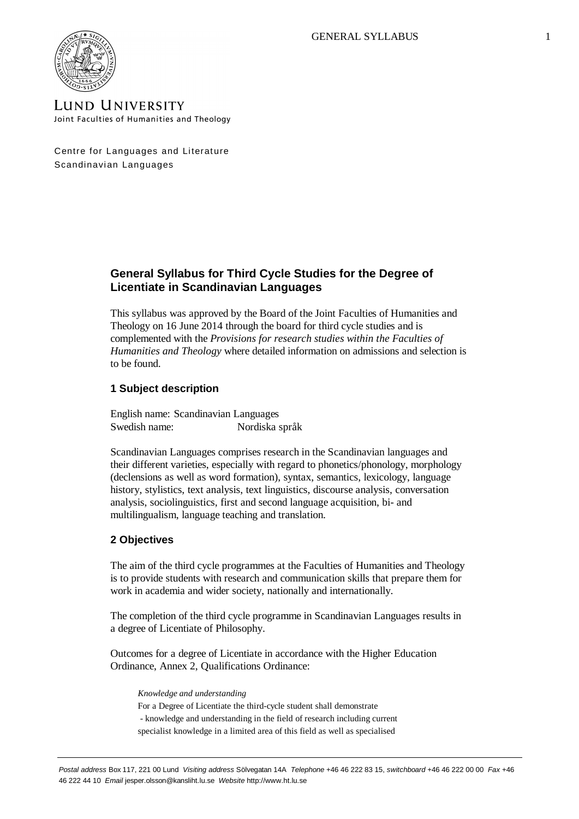

**LUND UNIVERSITY** Joint Faculties of Humanities and Theology

Centre for Languages and Literature Scandinavian Languages

# **General Syllabus for Third Cycle Studies for the Degree of Licentiate in Scandinavian Languages**

This syllabus was approved by the Board of the Joint Faculties of Humanities and Theology on 16 June 2014 through the board for third cycle studies and is complemented with the *Provisions for research studies within the Faculties of Humanities and Theology* where detailed information on admissions and selection is to be found.

# **1 Subject description**

English name: Scandinavian Languages Swedish name: Nordiska språk

Scandinavian Languages comprises research in the Scandinavian languages and their different varieties, especially with regard to phonetics/phonology, morphology (declensions as well as word formation), syntax, semantics, lexicology, language history, stylistics, text analysis, text linguistics, discourse analysis, conversation analysis, sociolinguistics, first and second language acquisition, bi- and multilingualism, language teaching and translation.

# **2 Objectives**

The aim of the third cycle programmes at the Faculties of Humanities and Theology is to provide students with research and communication skills that prepare them for work in academia and wider society, nationally and internationally.

The completion of the third cycle programme in Scandinavian Languages results in a degree of Licentiate of Philosophy.

Outcomes for a degree of Licentiate in accordance with the Higher Education Ordinance, Annex 2, Qualifications Ordinance:

*Knowledge and understanding*

For a Degree of Licentiate the third-cycle student shall demonstrate - knowledge and understanding in the field of research including current specialist knowledge in a limited area of this field as well as specialised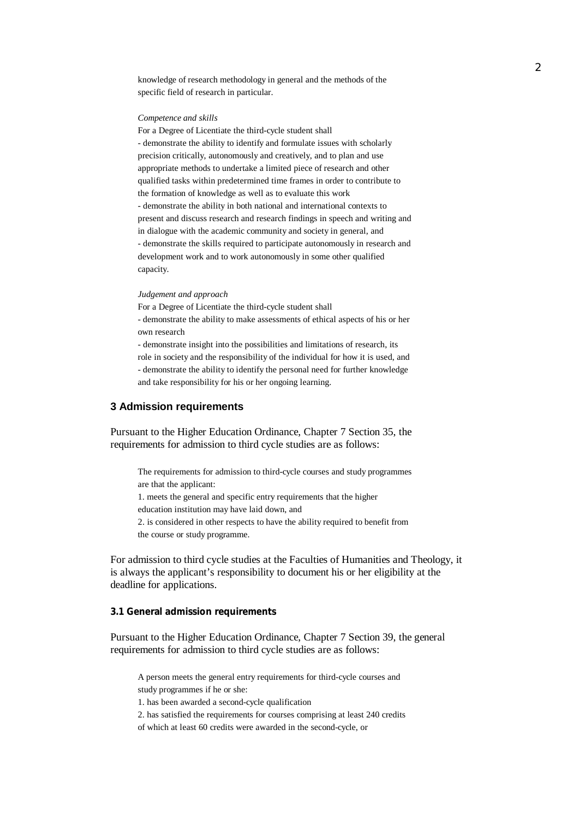knowledge of research methodology in general and the methods of the specific field of research in particular.

#### *Competence and skills*

For a Degree of Licentiate the third-cycle student shall - demonstrate the ability to identify and formulate issues with scholarly precision critically, autonomously and creatively, and to plan and use appropriate methods to undertake a limited piece of research and other qualified tasks within predetermined time frames in order to contribute to the formation of knowledge as well as to evaluate this work - demonstrate the ability in both national and international contexts to present and discuss research and research findings in speech and writing and in dialogue with the academic community and society in general, and - demonstrate the skills required to participate autonomously in research and development work and to work autonomously in some other qualified capacity.

#### *Judgement and approach*

For a Degree of Licentiate the third-cycle student shall

- demonstrate the ability to make assessments of ethical aspects of his or her own research

- demonstrate insight into the possibilities and limitations of research, its role in society and the responsibility of the individual for how it is used, and

- demonstrate the ability to identify the personal need for further knowledge and take responsibility for his or her ongoing learning.

## **3 Admission requirements**

Pursuant to the Higher Education Ordinance, Chapter 7 Section 35, the requirements for admission to third cycle studies are as follows:

The requirements for admission to third-cycle courses and study programmes are that the applicant:

1. meets the general and specific entry requirements that the higher

education institution may have laid down, and

2. is considered in other respects to have the ability required to benefit from the course or study programme.

For admission to third cycle studies at the Faculties of Humanities and Theology, it is always the applicant's responsibility to document his or her eligibility at the deadline for applications.

**3.1 General admission requirements**

Pursuant to the Higher Education Ordinance, Chapter 7 Section 39, the general requirements for admission to third cycle studies are as follows:

A person meets the general entry requirements for third-cycle courses and study programmes if he or she:

1. has been awarded a second-cycle qualification

2. has satisfied the requirements for courses comprising at least 240 credits

of which at least 60 credits were awarded in the second-cycle, or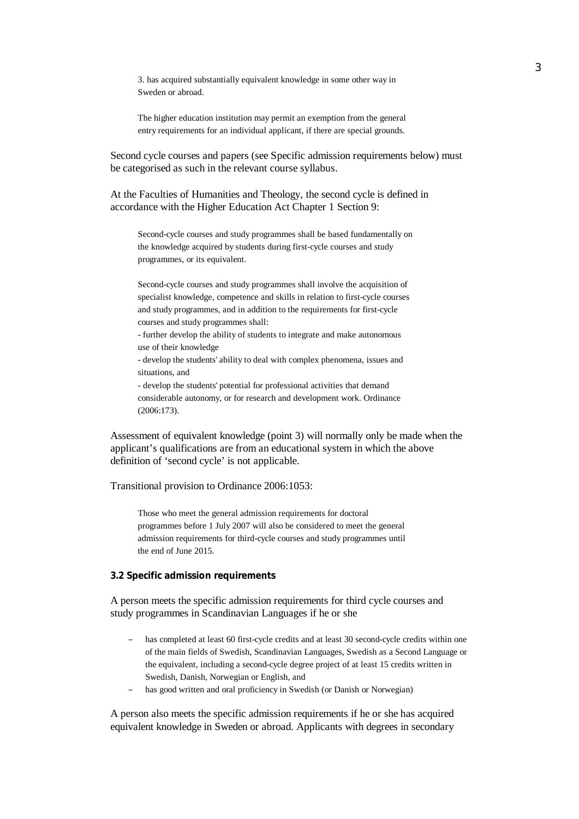3. has acquired substantially equivalent knowledge in some other way in Sweden or abroad.

The higher education institution may permit an exemption from the general entry requirements for an individual applicant, if there are special grounds.

Second cycle courses and papers (see Specific admission requirements below) must be categorised as such in the relevant course syllabus.

At the Faculties of Humanities and Theology, the second cycle is defined in accordance with the Higher Education Act Chapter 1 Section 9:

Second-cycle courses and study programmes shall be based fundamentally on the knowledge acquired by students during first-cycle courses and study programmes, or its equivalent.

Second-cycle courses and study programmes shall involve the acquisition of specialist knowledge, competence and skills in relation to first-cycle courses and study programmes, and in addition to the requirements for first-cycle courses and study programmes shall:

- further develop the ability of students to integrate and make autonomous use of their knowledge

- develop the students' ability to deal with complex phenomena, issues and situations, and

- develop the students' potential for professional activities that demand considerable autonomy, or for research and development work. Ordinance (2006:173).

Assessment of equivalent knowledge (point 3) will normally only be made when the applicant's qualifications are from an educational system in which the above definition of 'second cycle' is not applicable.

## Transitional provision to Ordinance 2006:1053:

Those who meet the general admission requirements for doctoral programmes before 1 July 2007 will also be considered to meet the general admission requirements for third-cycle courses and study programmes until the end of June 2015.

#### **3.2 Specific admission requirements**

A person meets the specific admission requirements for third cycle courses and study programmes in Scandinavian Languages if he or she

- has completed at least 60 first-cycle credits and at least 30 second-cycle credits within one of the main fields of Swedish, Scandinavian Languages, Swedish as a Second Language or the equivalent, including a second-cycle degree project of at least 15 credits written in Swedish, Danish, Norwegian or English, and
- has good written and oral proficiency in Swedish (or Danish or Norwegian)

A person also meets the specific admission requirements if he or she has acquired equivalent knowledge in Sweden or abroad. Applicants with degrees in secondary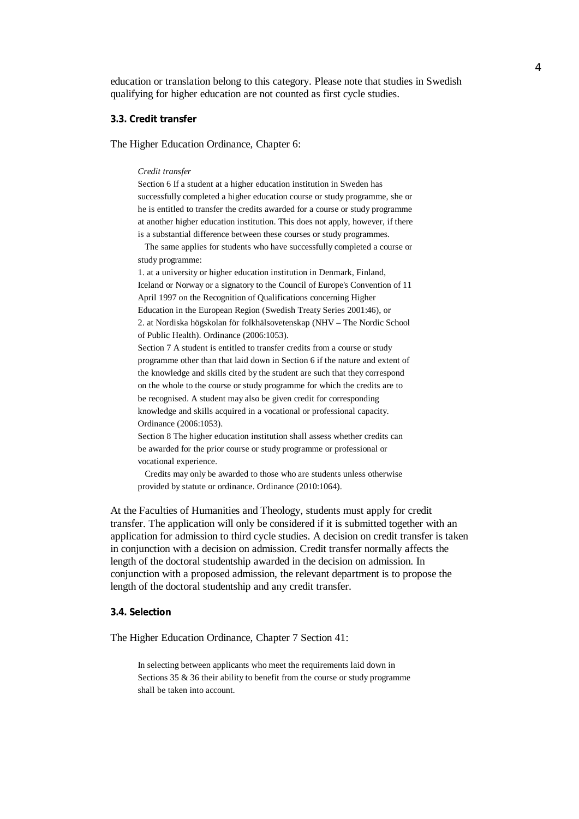education or translation belong to this category. Please note that studies in Swedish qualifying for higher education are not counted as first cycle studies.

### **3.3. Credit transfer**

The Higher Education Ordinance, Chapter 6:

#### *Credit transfer*

Section 6 If a student at a higher education institution in Sweden has successfully completed a higher education course or study programme, she or he is entitled to transfer the credits awarded for a course or study programme at another higher education institution. This does not apply, however, if there is a substantial difference between these courses or study programmes.

 The same applies for students who have successfully completed a course or study programme:

1. at a university or higher education institution in Denmark, Finland, Iceland or Norway or a signatory to the Council of Europe's Convention of 11 April 1997 on the Recognition of Qualifications concerning Higher Education in the European Region (Swedish Treaty Series 2001:46), or 2. at Nordiska högskolan för folkhälsovetenskap (NHV – The Nordic School of Public Health). Ordinance (2006:1053).

Section 7 A student is entitled to transfer credits from a course or study programme other than that laid down in Section 6 if the nature and extent of the knowledge and skills cited by the student are such that they correspond on the whole to the course or study programme for which the credits are to be recognised. A student may also be given credit for corresponding knowledge and skills acquired in a vocational or professional capacity. Ordinance (2006:1053).

Section 8 The higher education institution shall assess whether credits can be awarded for the prior course or study programme or professional or vocational experience.

 Credits may only be awarded to those who are students unless otherwise provided by statute or ordinance. Ordinance (2010:1064).

At the Faculties of Humanities and Theology, students must apply for credit transfer. The application will only be considered if it is submitted together with an application for admission to third cycle studies. A decision on credit transfer is taken in conjunction with a decision on admission. Credit transfer normally affects the length of the doctoral studentship awarded in the decision on admission. In conjunction with a proposed admission, the relevant department is to propose the length of the doctoral studentship and any credit transfer.

## **3.4. Selection**

The Higher Education Ordinance, Chapter 7 Section 41:

In selecting between applicants who meet the requirements laid down in Sections 35 & 36 their ability to benefit from the course or study programme shall be taken into account.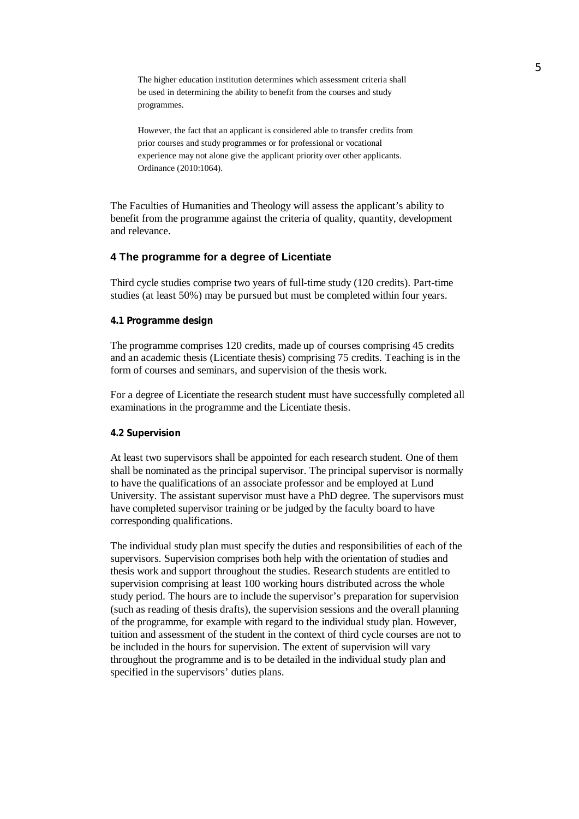The higher education institution determines which assessment criteria shall be used in determining the ability to benefit from the courses and study programmes.

However, the fact that an applicant is considered able to transfer credits from prior courses and study programmes or for professional or vocational experience may not alone give the applicant priority over other applicants. Ordinance (2010:1064).

The Faculties of Humanities and Theology will assess the applicant's ability to benefit from the programme against the criteria of quality, quantity, development and relevance.

## **4 The programme for a degree of Licentiate**

Third cycle studies comprise two years of full-time study (120 credits). Part-time studies (at least 50%) may be pursued but must be completed within four years.

## **4.1 Programme design**

The programme comprises 120 credits, made up of courses comprising 45 credits and an academic thesis (Licentiate thesis) comprising 75 credits. Teaching is in the form of courses and seminars, and supervision of the thesis work.

For a degree of Licentiate the research student must have successfully completed all examinations in the programme and the Licentiate thesis.

### **4.2 Supervision**

At least two supervisors shall be appointed for each research student. One of them shall be nominated as the principal supervisor. The principal supervisor is normally to have the qualifications of an associate professor and be employed at Lund University. The assistant supervisor must have a PhD degree. The supervisors must have completed supervisor training or be judged by the faculty board to have corresponding qualifications.

The individual study plan must specify the duties and responsibilities of each of the supervisors. Supervision comprises both help with the orientation of studies and thesis work and support throughout the studies. Research students are entitled to supervision comprising at least 100 working hours distributed across the whole study period. The hours are to include the supervisor's preparation for supervision (such as reading of thesis drafts), the supervision sessions and the overall planning of the programme, for example with regard to the individual study plan. However, tuition and assessment of the student in the context of third cycle courses are not to be included in the hours for supervision. The extent of supervision will vary throughout the programme and is to be detailed in the individual study plan and specified in the supervisors' duties plans.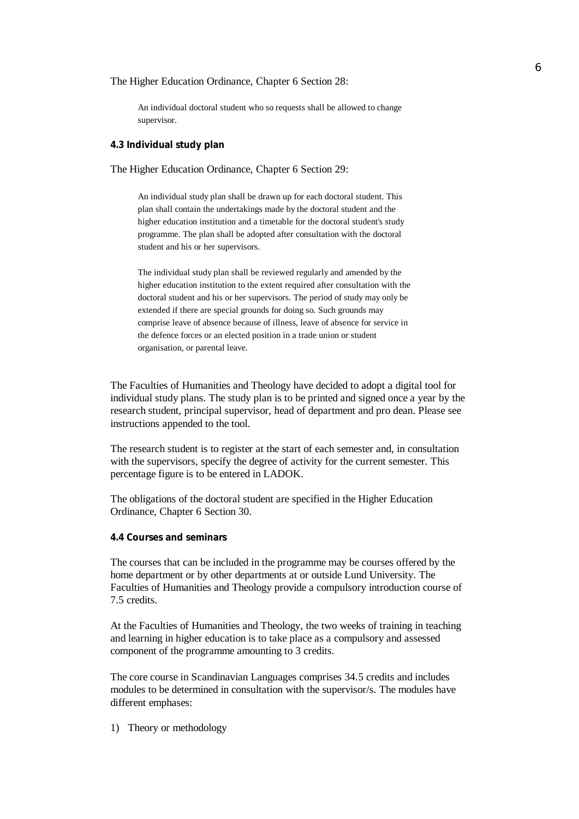### The Higher Education Ordinance, Chapter 6 Section 28:

An individual doctoral student who so requests shall be allowed to change supervisor.

## **4.3 Individual study plan**

The Higher Education Ordinance, Chapter 6 Section 29:

An individual study plan shall be drawn up for each doctoral student. This plan shall contain the undertakings made by the doctoral student and the higher education institution and a timetable for the doctoral student's study programme. The plan shall be adopted after consultation with the doctoral student and his or her supervisors.

The individual study plan shall be reviewed regularly and amended by the higher education institution to the extent required after consultation with the doctoral student and his or her supervisors. The period of study may only be extended if there are special grounds for doing so. Such grounds may comprise leave of absence because of illness, leave of absence for service in the defence forces or an elected position in a trade union or student organisation, or parental leave.

The Faculties of Humanities and Theology have decided to adopt a digital tool for individual study plans. The study plan is to be printed and signed once a year by the research student, principal supervisor, head of department and pro dean. Please see instructions appended to the tool.

The research student is to register at the start of each semester and, in consultation with the supervisors, specify the degree of activity for the current semester. This percentage figure is to be entered in LADOK.

The obligations of the doctoral student are specified in the Higher Education Ordinance, Chapter 6 Section 30.

**4.4 Courses and seminars**

The courses that can be included in the programme may be courses offered by the home department or by other departments at or outside Lund University. The Faculties of Humanities and Theology provide a compulsory introduction course of 7.5 credits.

At the Faculties of Humanities and Theology, the two weeks of training in teaching and learning in higher education is to take place as a compulsory and assessed component of the programme amounting to 3 credits.

The core course in Scandinavian Languages comprises 34.5 credits and includes modules to be determined in consultation with the supervisor/s. The modules have different emphases:

1) Theory or methodology